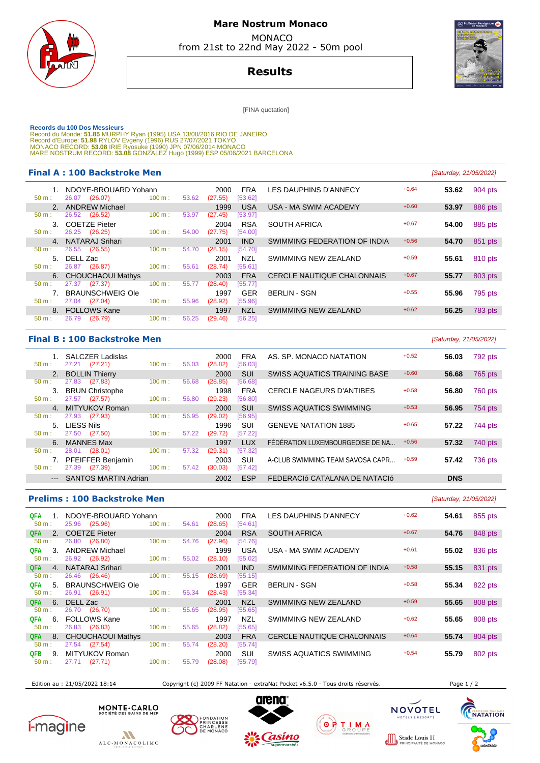

# **Mare Nostrum Monaco**  MONACO

from 21st to 22nd May 2022 - 50m pool

**Results**

[FINA quotation]

Records du 100 Dos Messieurs<br>Record du Monde: 51.85 MURPHY Ryan (1995) USA 13/08/2016 RIO DE JANEIRO<br>Record d'Europe: 51.98 RYLOV Evgeny (1996) RUS 27/07/2021 TOKYO<br>MONACO RECORD: 53.08 IRIE Ryosuke (1990) JPN 07/06/2014 M

### **Final A : 100 Backstroke Men Example 21/05/2022 Saturday**, 21/05/2022

| $50 m$ : | NDOYE-BROUARD Yohann<br>26.07<br>(26.07) | 100 m: | 53.62 | 2000<br>(27.55) | <b>FRA</b><br>[53.62] | LES DAUPHINS D'ANNECY             | $+0.64$ | 53.62 | 904 pts        |
|----------|------------------------------------------|--------|-------|-----------------|-----------------------|-----------------------------------|---------|-------|----------------|
| 2.       | <b>ANDREW Michael</b>                    |        |       | 1999            | <b>USA</b>            | USA - MA SWIM ACADEMY             | $+0.60$ | 53.97 | 886 pts        |
| $50 m$ : | (26.52)<br>26.52                         | 100 m: | 53.97 | (27.45)         | [53.97]               |                                   |         |       |                |
| 3.       | <b>COETZE Pieter</b>                     |        |       | 2004            | <b>RSA</b>            | <b>SOUTH AFRICA</b>               | $+0.67$ | 54.00 | 885 pts        |
| $50 m$ : | (26.25)<br>26.25                         | 100 m: | 54.00 | (27.75)         | [54.00]               |                                   |         |       |                |
| 4.       | <b>NATARAJ Srihari</b>                   |        |       | 2001            | <b>IND</b>            | SWIMMING FEDERATION OF INDIA      | $+0.56$ | 54.70 | 851 pts        |
| $50 m$ : | (26.55)<br>26.55                         | 100 m: | 54.70 | (28.15)         | [54.70]               |                                   |         |       |                |
| 5.       | DELL Zac                                 |        |       | 2001            | <b>NZL</b>            | SWIMMING NEW ZEALAND              | $+0.59$ | 55.61 | 810 pts        |
| 50 m:    | (26.87)<br>26.87                         | 100 m: | 55.61 | (28.74)         | [55.61]               |                                   |         |       |                |
|          | 6. CHOUCHAOUI Mathys                     |        |       | 2003            | <b>FRA</b>            | <b>CERCLE NAUTIQUE CHALONNAIS</b> | $+0.67$ | 55.77 | 803 pts        |
| $50 m$ : | (27.37)<br>27.37                         | 100 m: | 55.77 | (28.40)         | [55.77]               |                                   |         |       |                |
|          | <b>BRAUNSCHWEIG Ole</b>                  |        |       | 1997            | <b>GER</b>            | <b>BERLIN - SGN</b>               | $+0.55$ | 55.96 | 795 pts        |
| $50 m$ : | (27.04)<br>27.04                         | 100 m: | 55.96 | (28.92)         | [55.96]               |                                   |         |       |                |
| 8.       | <b>FOLLOWS Kane</b>                      |        |       | 1997            | <b>NZL</b>            | SWIMMING NEW ZEALAND              | $+0.62$ | 56.25 | <b>783 pts</b> |
| $50 m$ : | 26.79<br>(26.79)                         | 100 m: | 56.25 | (29.46)         | [56.25]               |                                   |         |       |                |
|          |                                          |        |       |                 |                       |                                   |         |       |                |

## **Final B : 100 Backstroke Men Example 2018** [Saturday, 21/05/2022]

| $50 m$ :       | <b>SALCZER Ladislas</b><br>(27.21)<br>27.21 | 100 m: | 56.03 | 2000<br>(28.82) | <b>FRA</b><br>[56.03] | AS. SP. MONACO NATATION          | $+0.52$ | 56.03      | 792 pts        |
|----------------|---------------------------------------------|--------|-------|-----------------|-----------------------|----------------------------------|---------|------------|----------------|
| 2 <sub>1</sub> | <b>BOLLIN Thierry</b>                       |        |       | 2000            | <b>SUI</b>            | SWISS AQUATICS TRAINING BASE     | $+0.60$ | 56.68      | 765 pts        |
| $50 m$ :       | (27.83)<br>27.83                            | 100 m: | 56.68 | (28.85)         | [56.68]               |                                  |         |            |                |
| 3.             | <b>BRUN Christophe</b>                      |        |       | 1998            | <b>FRA</b>            | <b>CERCLE NAGEURS D'ANTIBES</b>  | $+0.58$ | 56.80      | <b>760 pts</b> |
| $50 m$ :       | 27.57<br>(27.57)                            | 100 m: | 56.80 | (29.23)         | [56.80]               |                                  |         |            |                |
| $\mathbf{4}$   | MITYUKOV Roman                              |        |       | 2000            | <b>SUI</b>            | <b>SWISS AQUATICS SWIMMING</b>   | $+0.53$ | 56.95      | 754 pts        |
| $50 m$ :       | 27.93<br>(27.93)                            | 100 m: | 56.95 | (29.02)         | [56.95]               |                                  |         |            |                |
| 5.             | LIESS Nils                                  |        |       | 1996            | <b>SUI</b>            | <b>GENEVE NATATION 1885</b>      | $+0.65$ | 57.22      | 744 pts        |
| $50 m$ :       | 27.50<br>(27.50)                            | 100 m: | 57.22 | (29.72)         | [57.22]               |                                  |         |            |                |
| 6.             | <b>MANNES Max</b>                           |        |       | 1997            | <b>LUX</b>            | FÉDÉRATION LUXEMBOURGEOISE DE NA | $+0.56$ | 57.32      | 740 pts        |
| $50 m$ :       | (28.01)<br>28.01                            | 100 m: | 57.32 | (29.31)         | [57.32]               |                                  |         |            |                |
|                | <b>PFEIFFER Benjamin</b>                    |        |       | 2003            | SUI                   | A-CLUB SWIMMING TEAM SAVOSA CAPR | $+0.59$ | 57.42      | 736 pts        |
| $50 m$ :       | 27.39<br>(27.39)                            | 100 m: | 57.42 | (30.03)         | [57.42]               |                                  |         |            |                |
| $---$          | <b>SANTOS MARTIN Adrian</b>                 |        |       | 2002            | <b>ESP</b>            | FEDERACIÓ CATALANA DE NATACIÓ    |         | <b>DNS</b> |                |
|                |                                             |        |       |                 |                       |                                  |         |            |                |

#### **Prelims : 100 Backstroke Men** [Saturday, 21/05/2022]

| QFA<br>50 m: |    | NDOYE-BROUARD Yohann<br>25.96 (25.96) | 100 m: | 54.61 | 2000<br>(28.65) | <b>FRA</b><br>[54.61] | LES DAUPHINS D'ANNECY             | $+0.62$ | 54.61 | 855 pts |
|--------------|----|---------------------------------------|--------|-------|-----------------|-----------------------|-----------------------------------|---------|-------|---------|
| <b>QFA</b>   | 2. | <b>COETZE Pieter</b>                  |        |       | 2004            | <b>RSA</b>            | <b>SOUTH AFRICA</b>               | $+0.67$ | 54.76 | 848 pts |
| 50 m:        |    | (26.80)<br>26.80                      | 100 m: | 54.76 | (27.96)         | [54.76]               |                                   |         |       |         |
| QFA          | 3. | <b>ANDREW Michael</b>                 |        |       | 1999            | <b>USA</b>            | USA - MA SWIM ACADEMY             | $+0.61$ | 55.02 | 836 pts |
| $50 m$ :     |    | 26.92 (26.92)                         | 100 m: | 55.02 | (28.10)         | [55.02]               |                                   |         |       |         |
| <b>QFA</b>   | 4. | NATARAJ Srihari                       |        |       | 2001            | <b>IND</b>            | SWIMMING FEDERATION OF INDIA      | $+0.58$ | 55.15 | 831 pts |
| 50 m:        |    | 26.46 (26.46)                         | 100 m: | 55.15 | (28.69)         | [55.15]               |                                   |         |       |         |
| QFA          | 5. | <b>BRAUNSCHWEIG Ole</b>               |        |       | 1997            | <b>GER</b>            | <b>BERLIN - SGN</b>               | $+0.58$ | 55.34 | 822 pts |
| 50 m:        |    | 26.91 (26.91)                         | 100 m: | 55.34 | (28.43)         | [55.34]               |                                   |         |       |         |
| QFA          | 6. | DELL Zac                              |        |       | 2001            | <b>NZL</b>            | SWIMMING NEW ZEALAND              | $+0.59$ | 55.65 | 808 pts |
| 50 m:        |    | 26.70<br>(26.70)                      | 100 m: | 55.65 | (28.95)         | [55.65]               |                                   |         |       |         |
| QFA          | 6. | <b>FOLLOWS Kane</b>                   |        |       | 1997            | <b>NZL</b>            | SWIMMING NEW ZEALAND              | $+0.62$ | 55.65 | 808 pts |
| 50 m:        |    | 26.83 (26.83)                         | 100 m: | 55.65 | (28.82)         | [55.65]               |                                   |         |       |         |
| <b>QFA</b>   | 8. | <b>CHOUCHAOUI Mathys</b>              |        |       | 2003            | <b>FRA</b>            | <b>CERCLE NAUTIQUE CHALONNAIS</b> | $+0.64$ | 55.74 | 804 pts |
| 50 m:        |    | (27.54)<br>27.54                      | 100 m: | 55.74 | (28.20)         | [55.74]               |                                   |         |       |         |
| QFB.         | 9  | MITYUKOV Roman                        |        |       | 2000            | SUI                   | <b>SWISS AQUATICS SWIMMING</b>    | $+0.54$ | 55.79 | 802 pts |
| 50 m:        |    | (27.71)<br>27.71                      | 100 m: | 55.79 | (28.08)         | [55.79]               |                                   |         |       |         |
|              |    |                                       |        |       |                 |                       |                                   |         |       |         |

Edition au : 21/05/2022 18:14 Copyright (c) 2009 FF Natation - extraNat Pocket v6.5.0 - Tous droits réservés. Page 1 / 2











Stade Louis II  $0000$ 

TELS & RESO